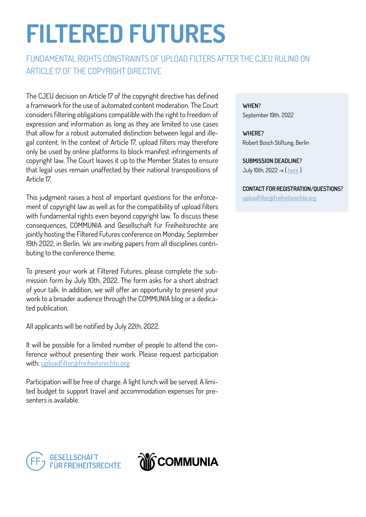# FILTERED FUTURES

### FUNDAMENTAL RIGHTS CONSTRAINTS OF UPLOAD FILTERS AFTER THE CJEU RULING ON ARTICLE 17 OF THE COPYRIGHT DIRECTIVE

The CJEU decision on Article 17 of the copyright directive has defined a framework for the use of automated content moderation. The Court considers filtering obligations compatible with the right to freedom of expression and information as long as they are limited to use cases that allow for a robust automated distinction between legal and illegal content. In the context of Article 17, upload filters may therefore only be used by online platforms to block manifest infringements of copyright law. The Court leaves it up to the Member States to ensure that legal uses remain unaffected by their national transpositions of Article 17.

This judgment raises a host of important questions for the enforcement of copyright law as well as for the compatibility of upload filters with fundamental rights even beyond copyright law. To discuss these consequences, COMMUNIA and Gesellschaft für Freiheitsrechte are jointly hosting the Filtered Futures conference on Monday, September 19th 2022, in Berlin. We are inviting papers from all disciplines contributing to the conference theme.

To present your work at Filtered Futures, please complete the submission form by July 10th, 2022. The form asks for a short abstract of your talk. In addition, we will offer an opportunity to present your work to a broader audience through the COMMUNIA blog or a dedicated publication.

All applicants will be notified by July 22th, 2022.

It will be possible for a limited number of people to attend the conference without presenting their work. Please request participation with: [uploadfilter@freiheitsrechte.org](mailto:uploadfilter%40freiheitsrechte.org?subject=)

Participation will be free of charge. A light lunch will be served. A limited budget to support travel and accommodation expenses for presenters is available.

WHEN? September 19th, 2022

WHERE? Robert Bosch Stiftung, Berlin

SUBMISSION DEADLINE? July 10th, 2022 → [ [here](https://docs.google.com/forms/d/e/1FAIpQLSdRsEWJish2B8AA4iwFm9-Xr5lIFDaFgegP5O3iA4TurYX23g/viewform?usp=sf_link) ]

#### CONTACT FOR REGISTRATION/QUESTIONS?

[uploadfilter@freiheitsrechte.org](mailto:uploadfilter%40freiheitsrechte.org?subject=)